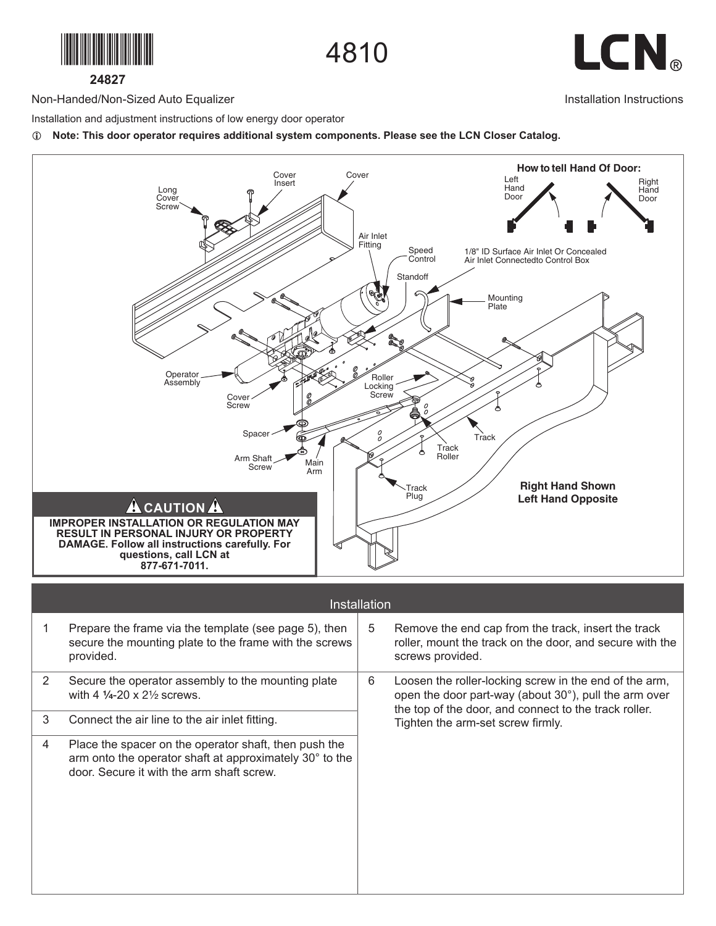

4810



Installation Instructions

**24827**

Non-Handed/Non-Sized Auto Equalizer

Installation and adjustment instructions of low energy door operator

L **Note: This door operator requires additional system components. Please see the LCN Closer Catalog.**



| Installation |                                                                                                                                                               |   |                                                                                                                                                                          |  |  |  |
|--------------|---------------------------------------------------------------------------------------------------------------------------------------------------------------|---|--------------------------------------------------------------------------------------------------------------------------------------------------------------------------|--|--|--|
|              | Prepare the frame via the template (see page 5), then<br>secure the mounting plate to the frame with the screws<br>provided.                                  | 5 | Remove the end cap from the track, insert the track<br>roller, mount the track on the door, and secure with the<br>screws provided.                                      |  |  |  |
| 2            | Secure the operator assembly to the mounting plate<br>with 4 $1/4 - 20 \times 2^{1/2}$ screws.                                                                | 6 | Loosen the roller-locking screw in the end of the arm,<br>open the door part-way (about 30°), pull the arm over<br>the top of the door, and connect to the track roller. |  |  |  |
| 3            | Connect the air line to the air inlet fitting.                                                                                                                |   | Tighten the arm-set screw firmly.                                                                                                                                        |  |  |  |
| 4            | Place the spacer on the operator shaft, then push the<br>arm onto the operator shaft at approximately 30° to the<br>door. Secure it with the arm shaft screw. |   |                                                                                                                                                                          |  |  |  |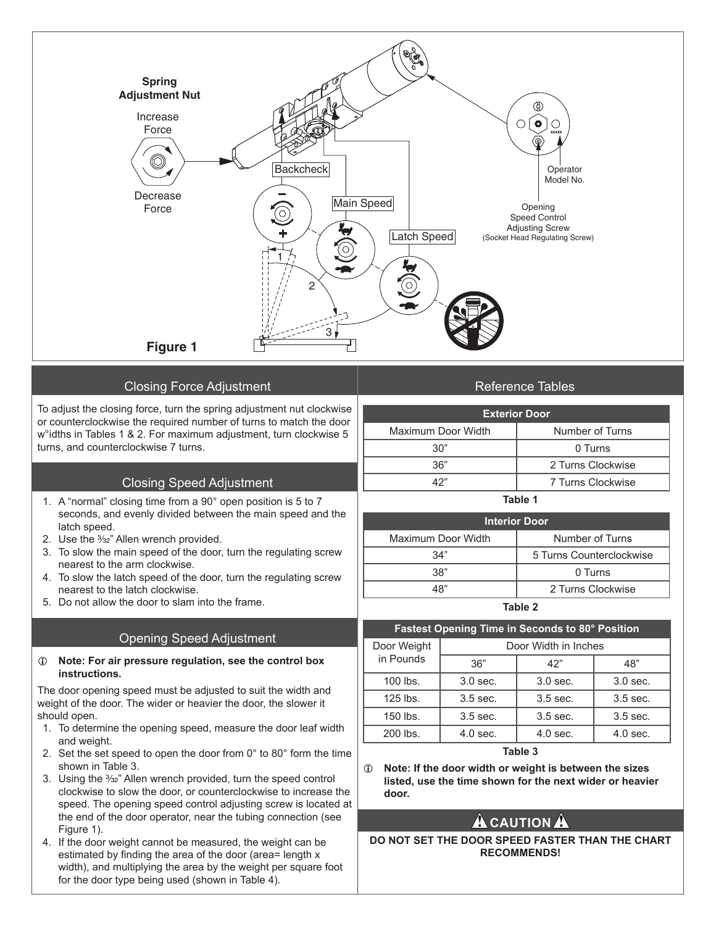

## Closing Force Adjustment

To adjust the closing force, turn the spring adjustment nut clockwise or counterclockwise the required number of turns to match the door w°idths in Tables 1 & 2. For maximum adjustment, turn clockwise 5 turns, and counterclockwise 7 turns.

# Closing Speed Adjustment

- 1. A "normal" closing time from a 90° open position is 5 to 7 seconds, and evenly divided between the main speed and the latch speed.
- 2. Use the 3/32" Allen wrench provided.
- 3. To slow the main speed of the door, turn the regulating screw nearest to the arm clockwise.
- 4. To slow the latch speed of the door, turn the regulating screw nearest to the latch clockwise.
- 5. Do not allow the door to slam into the frame.

# Opening Speed Adjustment

#### L **Note: For air pressure regulation, see the control box instructions.**

The door opening speed must be adjusted to suit the width and weight of the door. The wider or heavier the door, the slower it should open.

- 1. To determine the opening speed, measure the door leaf width and weight.
- 2. Set the set speed to open the door from 0° to 80° form the time shown in Table 3.
- 3. Using the 3/32" Allen wrench provided, turn the speed control clockwise to slow the door, or counterclockwise to increase the speed. The opening speed control adjusting screw is located at the end of the door operator, near the tubing connection (see Figure 1).
- 4. If the door weight cannot be measured, the weight can be estimated by finding the area of the door (area= length x width), and multiplying the area by the weight per square foot for the door type being used (shown in Table 4).

# Reference Tables

| <b>Exterior Door</b> |                   |  |  |  |
|----------------------|-------------------|--|--|--|
| Maximum Door Width   | Number of Turns   |  |  |  |
| 30"                  | 0 Turns           |  |  |  |
| 36"                  | 2 Turns Clockwise |  |  |  |
| 42"                  | 7 Turns Clockwise |  |  |  |
|                      |                   |  |  |  |

#### **Table 1**

| Interior Door      |                          |  |  |  |
|--------------------|--------------------------|--|--|--|
| Maximum Door Width | Number of Turns          |  |  |  |
| 34"                | 5 Turns Counterclockwise |  |  |  |
| 38"                | 0 Turns                  |  |  |  |
| 48"                | 2 Turns Clockwise        |  |  |  |
| Table 2            |                          |  |  |  |

#### **Fastest Opening Time in Seconds to 80° Position** Door Weight in Pounds Door Width in Inches 36" 42" 48" 100 lbs. | 3.0 sec. | 3.0 sec. | 3.0 sec. 125 lbs. | 3.5 sec. | 3.5 sec. | 3.5 sec.

| 1 LU 1 U J . | u.u uuu.   | u.u uuu.   | u.u uuu.   |
|--------------|------------|------------|------------|
| 150 lbs.     | $3.5$ sec. | $3.5$ sec. | $3.5$ sec. |
| 200 lbs.     | $4.0$ sec. | $4.0$ sec. | $4.0$ sec. |

## **Table 3**

L **Note: If the door width or weight is between the sizes listed, use the time shown for the next wider or heavier door.**

# **A** CAUTION A

**DO NOT SET THE DOOR SPEED FASTER THAN THE CHART RECOMMENDS!**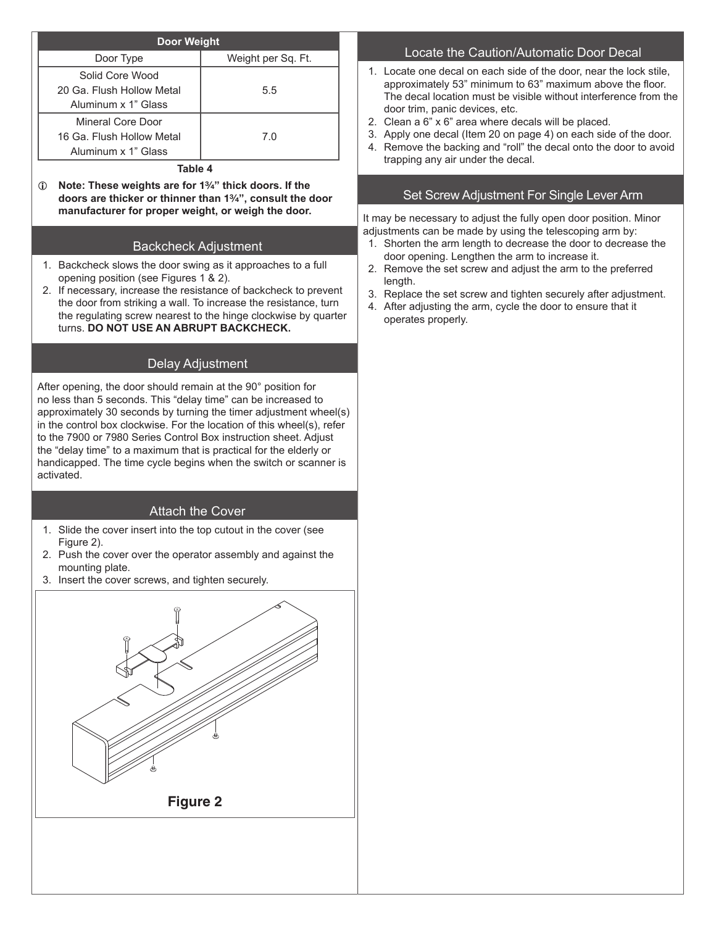| <b>Door Weight</b>        |                    |  |  |  |
|---------------------------|--------------------|--|--|--|
| Door Type                 | Weight per Sq. Ft. |  |  |  |
| Solid Core Wood           |                    |  |  |  |
| 20 Ga. Flush Hollow Metal | 5.5                |  |  |  |
| Aluminum x 1" Glass       |                    |  |  |  |
| Mineral Core Door         |                    |  |  |  |
| 16 Ga. Flush Hollow Metal | 7.0                |  |  |  |
| Aluminum x 1" Glass       |                    |  |  |  |

**Table 4**

 $\circled{1}$  Note: These weights are for 1<sup>3</sup>/<sub>4</sub>" thick doors. If the **doors are thicker or thinner than 1%", consult the door manufacturer for proper weight, or weigh the door.**

# Backcheck Adjustment

- 1. Backcheck slows the door swing as it approaches to a full opening position (see Figures 1 & 2).
- 2. If necessary, increase the resistance of backcheck to prevent the door from striking a wall. To increase the resistance, turn the regulating screw nearest to the hinge clockwise by quarter turns. **DO NOT USE AN ABRUPT BACKCHECK.**

# Delay Adjustment

After opening, the door should remain at the 90° position for no less than 5 seconds. This "delay time" can be increased to approximately 30 seconds by turning the timer adjustment wheel(s) in the control box clockwise. For the location of this wheel(s), refer to the 7900 or 7980 Series Control Box instruction sheet. Adjust the "delay time" to a maximum that is practical for the elderly or handicapped. The time cycle begins when the switch or scanner is activated.

## Attach the Cover

- 1. Slide the cover insert into the top cutout in the cover (see Figure 2).
- 2. Push the cover over the operator assembly and against the mounting plate.
- 3. Insert the cover screws, and tighten securely.



## Locate the Caution/Automatic Door Decal

- 1. Locate one decal on each side of the door, near the lock stile, approximately 53" minimum to 63" maximum above the floor. The decal location must be visible without interference from the door trim, panic devices, etc.
- 2. Clean a 6" x 6" area where decals will be placed.
- 3. Apply one decal (Item 20 on page 4) on each side of the door.
- 4. Remove the backing and "roll" the decal onto the door to avoid trapping any air under the decal.

# Set Screw Adjustment For Single Lever Arm

It may be necessary to adjust the fully open door position. Minor adjustments can be made by using the telescoping arm by:

- 1. Shorten the arm length to decrease the door to decrease the door opening. Lengthen the arm to increase it.
- 2. Remove the set screw and adjust the arm to the preferred length.
- 3. Replace the set screw and tighten securely after adjustment.
- 4. After adjusting the arm, cycle the door to ensure that it operates properly.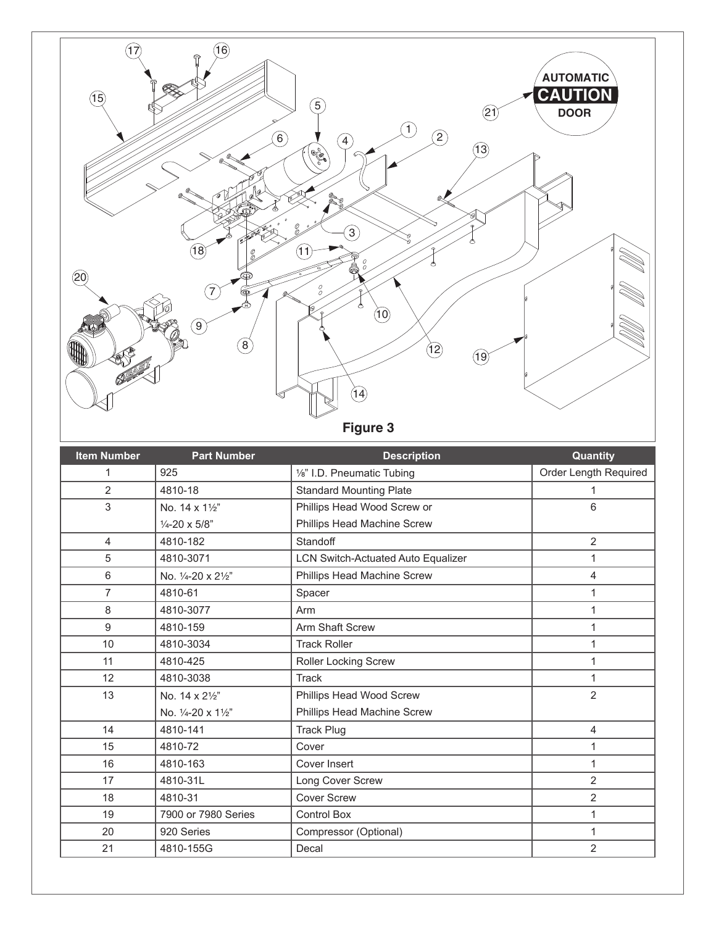

| <b>Item Number</b> | <b>Part Number</b>       | <b>Description</b>                        | Quantity              |
|--------------------|--------------------------|-------------------------------------------|-----------------------|
| 1                  | 925                      | 1/8" I.D. Pneumatic Tubing                | Order Length Required |
| $\overline{2}$     | 4810-18                  | <b>Standard Mounting Plate</b>            | 1                     |
| 3                  | No. 14 x 11/2"           | Phillips Head Wood Screw or               | 6                     |
|                    | $\frac{1}{4}$ -20 x 5/8" | Phillips Head Machine Screw               |                       |
| $\overline{4}$     | 4810-182                 | Standoff                                  | $\overline{2}$        |
| 5                  | 4810-3071                | <b>LCN Switch-Actuated Auto Equalizer</b> |                       |
| 6                  | No. 1/4-20 x 21/2"       | Phillips Head Machine Screw               | 4                     |
| $\overline{7}$     | 4810-61                  | Spacer                                    |                       |
| 8                  | 4810-3077                | Arm                                       |                       |
| 9                  | 4810-159                 | Arm Shaft Screw                           |                       |
| 10                 | 4810-3034                | <b>Track Roller</b>                       |                       |
| 11                 | 4810-425                 | Roller Locking Screw                      |                       |
| 12                 | 4810-3038                | <b>Track</b>                              |                       |
| 13                 | No. 14 x 21/2"           | Phillips Head Wood Screw                  | $\overline{2}$        |
|                    | No. 1/4-20 x 11/2"       | Phillips Head Machine Screw               |                       |
| 14                 | 4810-141                 | <b>Track Plug</b>                         | $\overline{4}$        |
| 15                 | 4810-72                  | Cover                                     | 1                     |
| 16                 | 4810-163                 | Cover Insert                              |                       |
| 17                 | 4810-31L                 | Long Cover Screw                          | 2                     |
| 18                 | 4810-31                  | <b>Cover Screw</b>                        | $\overline{2}$        |
| 19                 | 7900 or 7980 Series      | <b>Control Box</b>                        | 1                     |
| 20                 | 920 Series               | Compressor (Optional)                     |                       |
| 21                 | 4810-155G                | Decal                                     | 2                     |